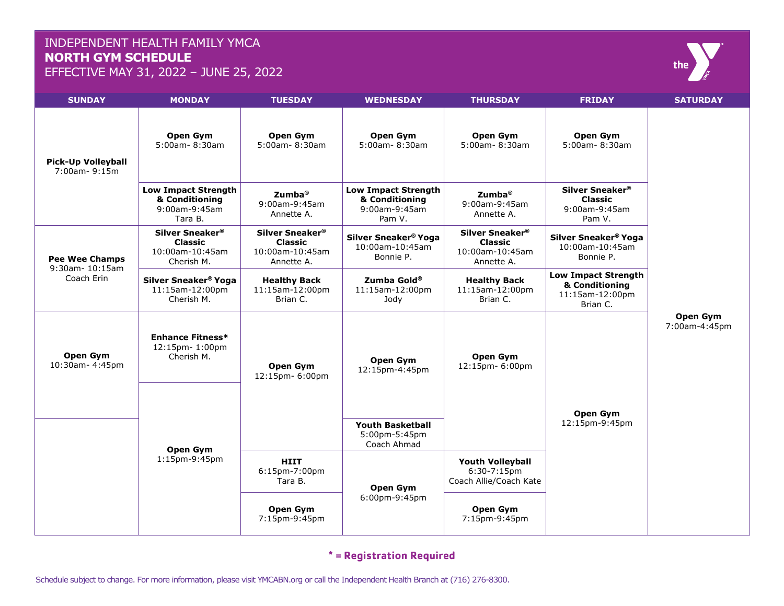## INDEPENDENT HEALTH FAMILY YMCA **NORTH GYM SCHEDULE**

EFFECTIVE MAY 31, 2022 – JUNE 25, 2022



#### **\* = Registration Required**

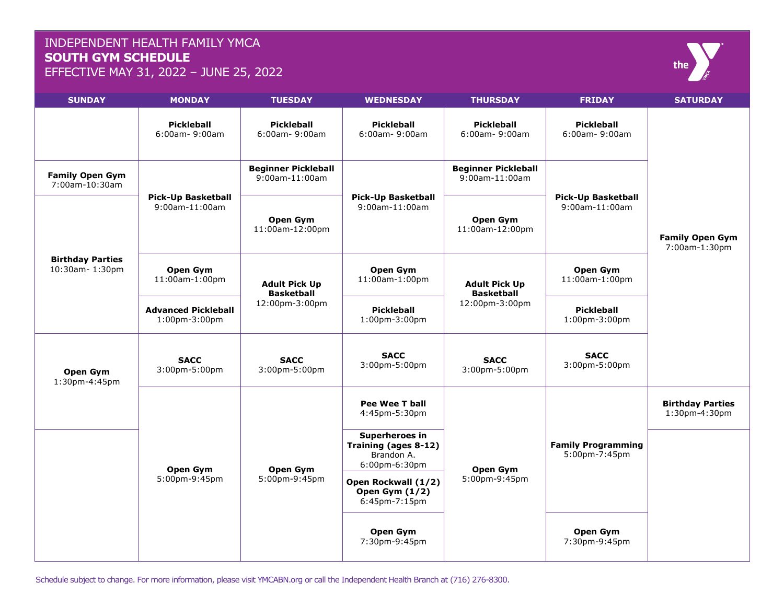## INDEPENDENT HEALTH FAMILY YMCA **SOUTH GYM SCHEDULE**

EFFECTIVE MAY 31, 2022 – JUNE 25, 2022

| <b>SUNDAY</b>                             | <b>MONDAY</b>                                      | <b>TUESDAY</b>                                              | <b>WEDNESDAY</b>                                                      | <b>THURSDAY</b>                                             | <b>FRIDAY</b>                               | <b>SATURDAY</b>                          |
|-------------------------------------------|----------------------------------------------------|-------------------------------------------------------------|-----------------------------------------------------------------------|-------------------------------------------------------------|---------------------------------------------|------------------------------------------|
|                                           | Pickleball<br>6:00am-9:00am                        | Pickleball<br>6:00am-9:00am                                 | Pickleball<br>$6:00$ am - 9:00am                                      | <b>Pickleball</b><br>6:00am-9:00am                          | <b>Pickleball</b><br>6:00am- 9:00am         |                                          |
| <b>Family Open Gym</b><br>7:00am-10:30am  | <b>Pick-Up Basketball</b><br>9:00am-11:00am        | <b>Beginner Pickleball</b><br>9:00am-11:00am                | <b>Pick-Up Basketball</b><br>9:00am-11:00am                           | <b>Beginner Pickleball</b><br>9:00am-11:00am                | <b>Pick-Up Basketball</b><br>9:00am-11:00am | <b>Family Open Gym</b><br>7:00am-1:30pm  |
| <b>Birthday Parties</b><br>10:30am-1:30pm |                                                    | Open Gym<br>11:00am-12:00pm                                 |                                                                       | Open Gym<br>11:00am-12:00pm                                 |                                             |                                          |
|                                           | Open Gym<br>11:00am-1:00pm                         | <b>Adult Pick Up</b><br><b>Basketball</b><br>12:00pm-3:00pm | <b>Open Gym</b><br>11:00am-1:00pm                                     | <b>Adult Pick Up</b><br><b>Basketball</b><br>12:00pm-3:00pm | Open Gym<br>11:00am-1:00pm                  |                                          |
|                                           | <b>Advanced Pickleball</b><br>$1:00$ pm- $3:00$ pm |                                                             | <b>Pickleball</b><br>1:00pm-3:00pm                                    |                                                             | <b>Pickleball</b><br>1:00pm-3:00pm          |                                          |
| Open Gym<br>1:30pm-4:45pm                 | <b>SACC</b><br>3:00pm-5:00pm                       | <b>SACC</b><br>3:00pm-5:00pm                                | <b>SACC</b><br>3:00pm-5:00pm                                          | <b>SACC</b><br>3:00pm-5:00pm                                | <b>SACC</b><br>3:00pm-5:00pm                |                                          |
|                                           | Open Gym<br>5:00pm-9:45pm                          | Open Gym<br>5:00pm-9:45pm                                   | Pee Wee T ball<br>4:45pm-5:30pm                                       | Open Gym<br>5:00pm-9:45pm                                   | <b>Family Programming</b><br>5:00pm-7:45pm  | <b>Birthday Parties</b><br>1:30pm-4:30pm |
|                                           |                                                    |                                                             | Superheroes in<br>Training (ages 8-12)<br>Brandon A.<br>6:00pm-6:30pm |                                                             |                                             |                                          |
|                                           |                                                    |                                                             | Open Rockwall (1/2)<br>Open Gym $(1/2)$<br>6:45pm-7:15pm              |                                                             |                                             |                                          |
|                                           |                                                    |                                                             | Open Gym<br>7:30pm-9:45pm                                             |                                                             | Open Gym<br>7:30pm-9:45pm                   |                                          |

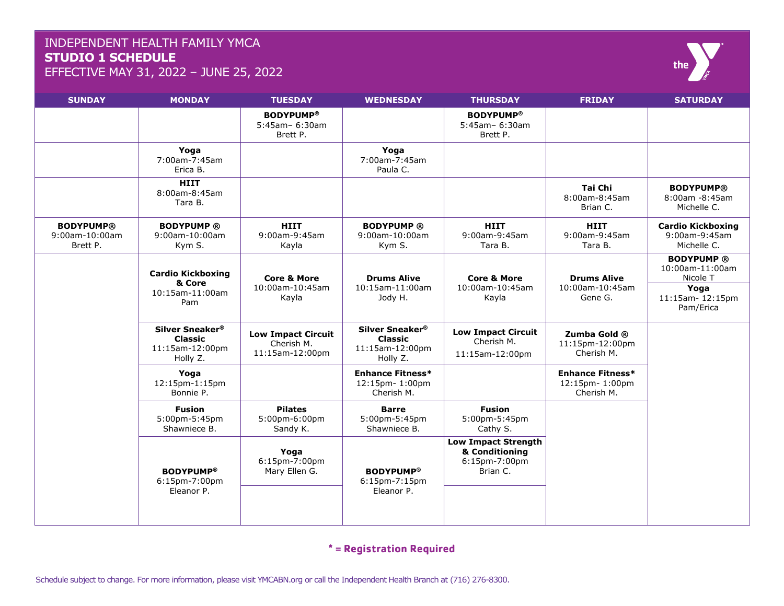### INDEPENDENT HEALTH FAMILY YMCA **STUDIO 1 SCHEDULE**

EFFECTIVE MAY 31, 2022 – JUNE 25, 2022



| <b>SUNDAY</b>                                  | <b>MONDAY</b>                                                    | <b>TUESDAY</b>                                             | <b>WEDNESDAY</b>                                                 | <b>THURSDAY</b>                                                           | <b>FRIDAY</b>                                           | <b>SATURDAY</b>                                                                         |
|------------------------------------------------|------------------------------------------------------------------|------------------------------------------------------------|------------------------------------------------------------------|---------------------------------------------------------------------------|---------------------------------------------------------|-----------------------------------------------------------------------------------------|
|                                                |                                                                  | <b>BODYPUMP®</b><br>5:45am- 6:30am<br>Brett P.             |                                                                  | <b>BODYPUMP®</b><br>5:45am- 6:30am<br>Brett P.                            |                                                         |                                                                                         |
|                                                | Yoga<br>7:00am-7:45am<br>Erica B.                                |                                                            | Yoga<br>7:00am-7:45am<br>Paula C.                                |                                                                           |                                                         |                                                                                         |
|                                                | <b>HIIT</b><br>8:00am-8:45am<br>Tara B.                          |                                                            |                                                                  |                                                                           | Tai Chi<br>8:00am-8:45am<br>Brian C.                    | <b>BODYPUMP®</b><br>8:00am -8:45am<br>Michelle C.                                       |
| <b>BODYPUMP®</b><br>9:00am-10:00am<br>Brett P. | <b>BODYPUMP®</b><br>9:00am-10:00am<br>Kym S.                     | <b>HIIT</b><br>9:00am-9:45am<br>Kayla                      | <b>BODYPUMP®</b><br>9:00am-10:00am<br>Kym S.                     | <b>HIIT</b><br>9:00am-9:45am<br>Tara B.                                   | <b>HIIT</b><br>9:00am-9:45am<br>Tara B.                 | <b>Cardio Kickboxing</b><br>9:00am-9:45am<br>Michelle C.                                |
|                                                | <b>Cardio Kickboxing</b><br>& Core<br>10:15am-11:00am<br>Pam     | <b>Core &amp; More</b><br>10:00am-10:45am<br>Kayla         | <b>Drums Alive</b><br>10:15am-11:00am<br>Jody H.                 | <b>Core &amp; More</b><br>10:00am-10:45am<br>Kayla                        | <b>Drums Alive</b><br>10:00am-10:45am<br>Gene G.        | <b>BODYPUMP®</b><br>10:00am-11:00am<br>Nicole T<br>Yoga<br>11:15am-12:15pm<br>Pam/Erica |
|                                                | Silver Sneaker®<br><b>Classic</b><br>11:15am-12:00pm<br>Holly Z. | <b>Low Impact Circuit</b><br>Cherish M.<br>11:15am-12:00pm | Silver Sneaker®<br><b>Classic</b><br>11:15am-12:00pm<br>Holly Z. | <b>Low Impact Circuit</b><br>Cherish M.<br>11:15am-12:00pm                | Zumba Gold ®<br>11:15pm-12:00pm<br>Cherish M.           |                                                                                         |
|                                                | Yoga<br>12:15pm-1:15pm<br>Bonnie P.                              |                                                            | <b>Enhance Fitness*</b><br>12:15pm-1:00pm<br>Cherish M.          |                                                                           | <b>Enhance Fitness*</b><br>12:15pm-1:00pm<br>Cherish M. |                                                                                         |
|                                                | <b>Fusion</b><br>5:00pm-5:45pm<br>Shawniece B.                   | <b>Pilates</b><br>5:00pm-6:00pm<br>Sandy K.                | <b>Barre</b><br>5:00pm-5:45pm<br>Shawniece B.                    | <b>Fusion</b><br>5:00pm-5:45pm<br>Cathy S.                                |                                                         |                                                                                         |
|                                                | <b>BODYPUMP®</b><br>6:15pm-7:00pm<br>Eleanor P.                  | Yoga<br>$6:15$ pm-7:00pm<br>Mary Ellen G.                  | <b>BODYPUMP®</b><br>6:15pm-7:15pm<br>Eleanor P.                  | <b>Low Impact Strength</b><br>& Conditioning<br>6:15pm-7:00pm<br>Brian C. |                                                         |                                                                                         |

#### **\* = Registration Required**